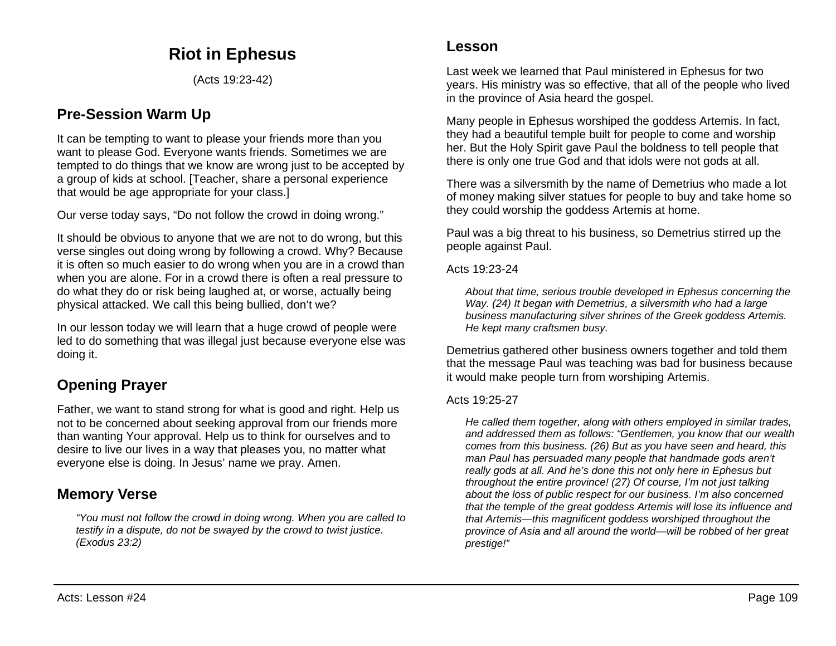# **Riot in Ephesus**

(Acts 19:23-42)

### **Pre-Session Warm Up**

It can be tempting to want to please your friends more than you want to please God. Everyone wants friends. Sometimes we are tempted to do things that we know are wrong just to be accepted by a group of kids at school. [Teacher, share a personal experience that would be age appropriate for your class.]

Our verse today says, "Do not follow the crowd in doing wrong."

It should be obvious to anyone that we are not to do wrong, but this verse singles out doing wrong by following a crowd. Why? Because it is often so much easier to do wrong when you are in a crowd than when you are alone. For in a crowd there is often a real pressure to do what they do or risk being laughed at, or worse, actually being physical attacked. We call this being bullied, don't we?

In our lesson today we will learn that a huge crowd of people were led to do something that was illegal just because everyone else was doing it.

# **Opening Prayer**

Father, we want to stand strong for what is good and right. Help us not to be concerned about seeking approval from our friends more than wanting Your approval. Help us to think for ourselves and to desire to live our lives in a way that pleases you, no matter what everyone else is doing. In Jesus' name we pray. Amen.

## **Memory Verse**

*"You must not follow the crowd in doing wrong. When you are called to testify in a dispute, do not be swayed by the crowd to twist justice. (Exodus 23:2)*

Last week we learned that Paul ministered in Ephesus for two years. His ministry was so effective, that all of the people who lived in the province of Asia heard the gospel.

Many people in Ephesus worshiped the goddess Artemis. In fact, they had a beautiful temple built for people to come and worship her. But the Holy Spirit gave Paul the boldness to tell people that there is only one true God and that idols were not gods at all.

There was a silversmith by the name of Demetrius who made a lot of money making silver statues for people to buy and take home so they could worship the goddess Artemis at home.

Paul was a big threat to his business, so Demetrius stirred up the people against Paul.

Acts 19:23-24

*About that time, serious trouble developed in Ephesus concerning the Way. (24) It began with Demetrius, a silversmith who had a large business manufacturing silver shrines of the Greek goddess Artemis. He kept many craftsmen busy.*

Demetrius gathered other business owners together and told them that the message Paul was teaching was bad for business because it would make people turn from worshiping Artemis.

#### Acts 19:25-27

*He called them together, along with others employed in similar trades, and addressed them as follows: "Gentlemen, you know that our wealth comes from this business. (26) But as you have seen and heard, this man Paul has persuaded many people that handmade gods aren't really gods at all. And he's done this not only here in Ephesus but throughout the entire province! (27) Of course, I'm not just talking about the loss of public respect for our business. I'm also concerned that the temple of the great goddess Artemis will lose its influence and that Artemis—this magnificent goddess worshiped throughout the province of Asia and all around the world—will be robbed of her great prestige!"*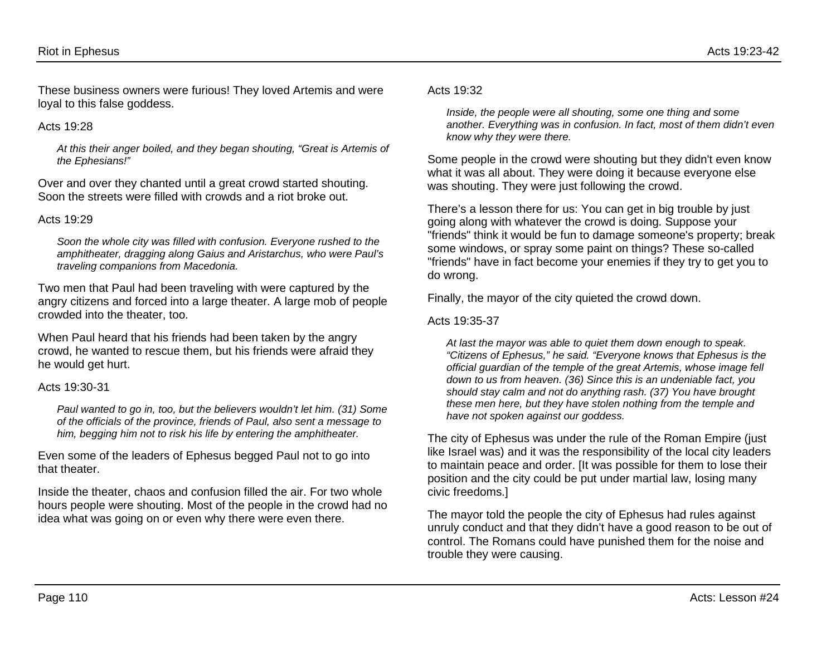These business owners were furious! They loved Artemis and were loyal to this false goddess.

#### Acts  $19.28$

*At this their anger boiled, and they began shouting, "Great is Artemis of the Ephesians!"*

Over and over they chanted until a great crowd started shouting. Soon the streets were filled with crowds and a riot broke out.

#### Acts 19:29

*Soon the whole city was filled with confusion. Everyone rushed to the amphitheater, dragging along Gaius and Aristarchus, who were Paul's traveling companions from Macedonia.*

Two men that Paul had been traveling with were captured by the angry citizens and forced into a large theater. A large mob of people crowded into the theater, too.

When Paul heard that his friends had been taken by the angry crowd, he wanted to rescue them, but his friends were afraid they he would get hurt.

#### Acts 19:30-31

*Paul wanted to go in, too, but the believers wouldn't let him. (31) Some of the officials of the province, friends of Paul, also sent a message to him, begging him not to risk his life by entering the amphitheater.*

Even some of the leaders of Ephesus begged Paul not to go into that theater.

Inside the theater, chaos and confusion filled the air. For two whole hours people were shouting. Most of the people in the crowd had no idea what was going on or even why there were even there.

#### Acts 19:32

*Inside, the people were all shouting, some one thing and some another. Everything was in confusion. In fact, most of them didn't even know why they were there.*

Some people in the crowd were shouting but they didn't even know what it was all about. They were doing it because everyone else was shouting. They were just following the crowd.

There's a lesson there for us: You can get in big trouble by just going along with whatever the crowd is doing. Suppose your "friends" think it would be fun to damage someone's property; break some windows, or spray some paint on things? These so-called "friends" have in fact become your enemies if they try to get you to do wrong.

Finally, the mayor of the city quieted the crowd down.

#### Acts 19:35-37

*At last the mayor was able to quiet them down enough to speak. "Citizens of Ephesus," he said. "Everyone knows that Ephesus is the official guardian of the temple of the great Artemis, whose image fell down to us from heaven. (36) Since this is an undeniable fact, you should stay calm and not do anything rash. (37) You have brought these men here, but they have stolen nothing from the temple and have not spoken against our goddess.*

The city of Ephesus was under the rule of the Roman Empire (just like Israel was) and it was the responsibility of the local city leaders to maintain peace and order. [It was possible for them to lose their position and the city could be put under martial law, losing many civic freedoms.]

The mayor told the people the city of Ephesus had rules against unruly conduct and that they didn't have a good reason to be out of control. The Romans could have punished them for the noise and trouble they were causing.